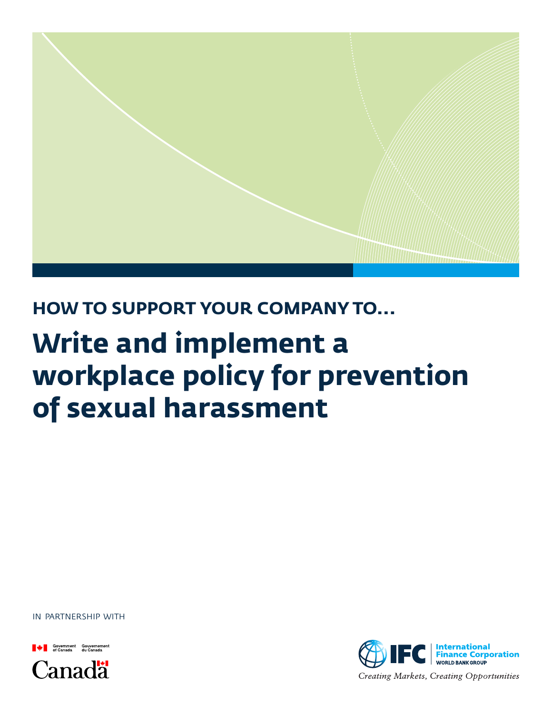

## **HOW TO SUPPORT YOUR COMPANY TO...**

## **Write and implement a workplace policy for prevention of sexual harassment**

IN PARTNERSHIP WITH



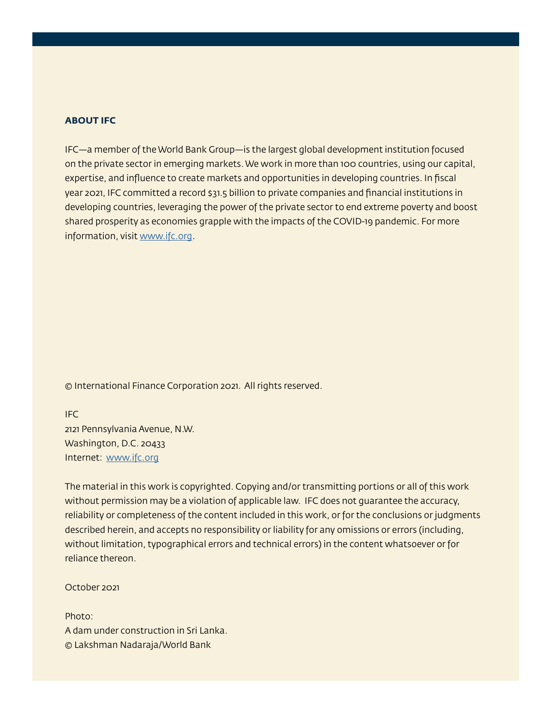#### **ABOUT IFC**

IFC—a member of the World Bank Group—is the largest global development institution focused on the private sector in emerging markets. We work in more than 100 countries, using our capital, expertise, and influence to create markets and opportunities in developing countries. In fiscal year 2021, IFC committed a record \$31.5 billion to private companies and financial institutions in developing countries, leveraging the power of the private sector to end extreme poverty and boost shared prosperity as economies grapple with the impacts of the COVID-19 pandemic. For more information, visit [www.ifc.org](https://www.ifc.org).

© International Finance Corporation 2021. All rights reserved.

IFC 2121 Pennsylvania Avenue, N.W. Washington, D.C. 20433 Internet: [www.ifc.org](https://www.ifc.org)

The material in this work is copyrighted. Copying and/or transmitting portions or all of this work without permission may be a violation of applicable law. IFC does not guarantee the accuracy, reliability or completeness of the content included in this work, or for the conclusions or judgments described herein, and accepts no responsibility or liability for any omissions or errors (including, without limitation, typographical errors and technical errors) in the content whatsoever or for reliance thereon.

October 2021

Photo: A dam under construction in Sri Lanka. © Lakshman Nadaraja/World Bank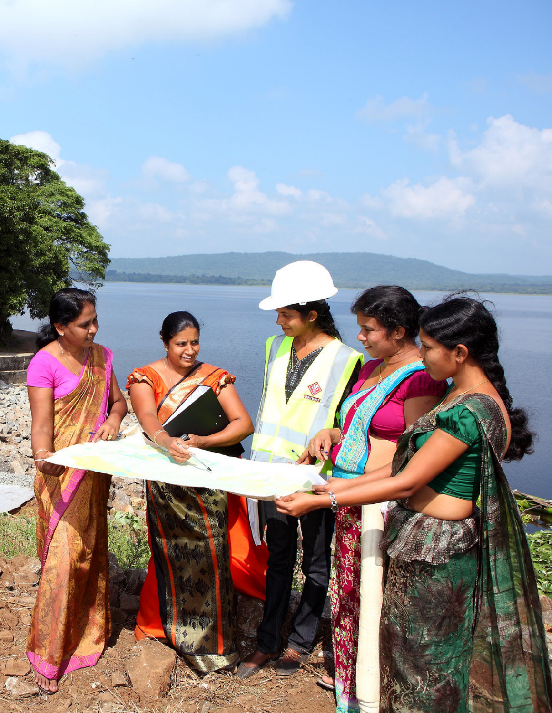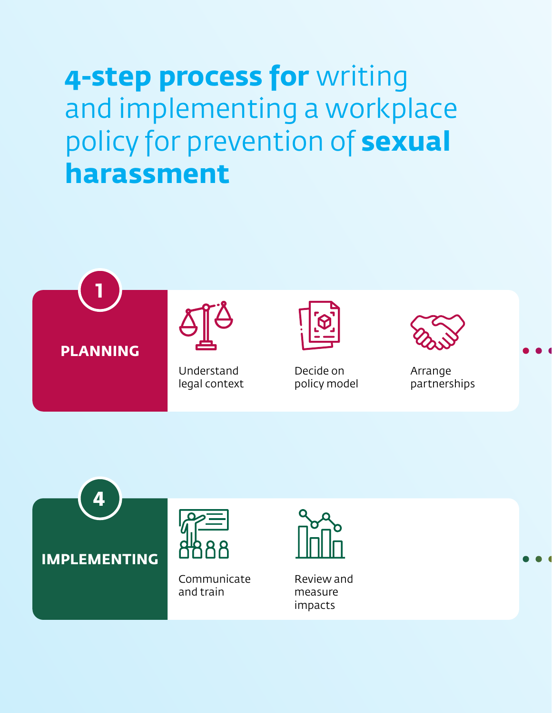**4-step process for** writing and implementing a workplace policy for prevention of **sexual harassment**



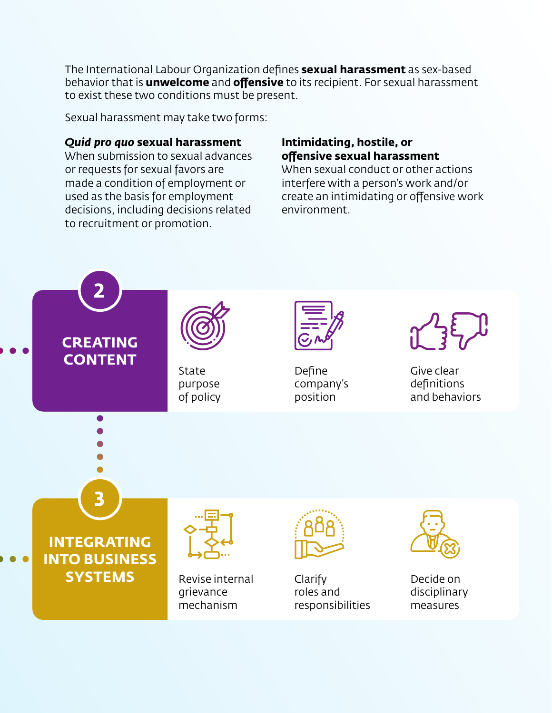The International Labour Organization defines **sexual harassment** as sex-based behavior that is **unwelcome** and **offensive** to its recipient. For sexual harassment to exist these two conditions must be present.

Sexual harassment may take two forms:

## *Quid pro quo* **sexual harassment**

When submission to sexual advances or requests for sexual favors are made a condition of employment or used as the basis for employment decisions, including decisions related to recruitment or promotion.

## **Intimidating, hostile, or offensive sexual harassment**

When sexual conduct or other actions interfere with a person's work and/or create an intimidating or offensive work environment.

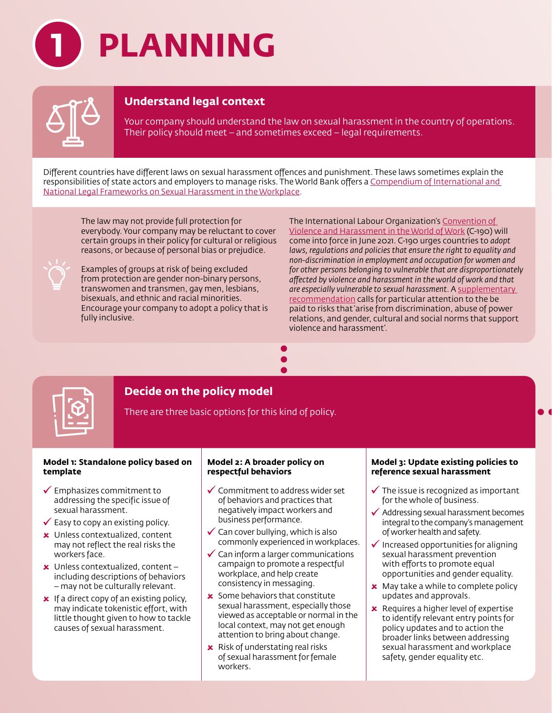# **1 PLANNING**



## **Understand legal context**

Your company should understand the law on sexual harassment in the country of operations. Their policy should meet – and sometimes exceed – legal requirements.

Different countries have different laws on sexual harassment offences and punishment. These laws sometimes explain the responsibilities of state actors and employers to manage risks. The World Bank offers a Compendium of International and [National Legal Frameworks on Sexual Harassment in the Workplace](https://openknowledge.worldbank.org/handle/10986/32817).

The law may not provide full protection for everybody. Your company may be reluctant to cover certain groups in their policy for cultural or religious reasons, or because of personal bias or prejudice.



Examples of groups at risk of being excluded from protection are gender non-binary persons, transwomen and transmen, gay men, lesbians, bisexuals, and ethnic and racial minorities. Encourage your company to adopt a policy that is fully inclusive.

The International Labour Organization's [Convention of](https://www.ilo.org/dyn/normlex/en/f?p=NORMLEXPUB:12100:0::NO::P12100_ILO_CODE:C190)  [Violence and Harassment in the World of Work](https://www.ilo.org/dyn/normlex/en/f?p=NORMLEXPUB:12100:0::NO::P12100_ILO_CODE:C190) (C-190) will come into force in June 2021. C-190 urges countries to *adopt laws, regulations and policies that ensure the right to equality and non-discrimination in employment and occupation for women and for other persons belonging to vulnerable that are disproportionately affected by violence and harassment in the world of work and that are especially vulnerable to sexual harassment*. A [supplementary](https://www.ilo.org/dyn/normlex/en/f?p=NORMLEXPUB:12100:0::NO:12100:P12100_INSTRUMENT_ID:4000085:NO)  [recommendation](https://www.ilo.org/dyn/normlex/en/f?p=NORMLEXPUB:12100:0::NO:12100:P12100_INSTRUMENT_ID:4000085:NO) calls for particular attention to the be paid to risks that 'arise from discrimination, abuse of power relations, and gender, cultural and social norms that support violence and harassment'.



## **Decide on the policy model**

There are three basic options for this kind of policy.

#### **Model 1: Standalone policy based on template**

- $\checkmark$  Emphasizes commitment to addressing the specific issue of sexual harassment.
- $\checkmark$  Easy to copy an existing policy.
- Unless contextualized, content may not reflect the real risks the workers face.
- Unless contextualized, content including descriptions of behaviors – may not be culturally relevant.
- $\boldsymbol{\times}$  If a direct copy of an existing policy, may indicate tokenistic effort, with little thought given to how to tackle causes of sexual harassment.

#### **Model 2: A broader policy on respectful behaviors**

- Commitment to address wider set  $\checkmark$ of behaviors and practices that negatively impact workers and business performance.
- Can cover bullying, which is also commonly experienced in workplaces.
- $\checkmark$  Can inform a larger communications campaign to promote a respectful workplace, and help create consistency in messaging.
- **x** Some behaviors that constitute sexual harassment, especially those viewed as acceptable or normal in the local context, may not get enough attention to bring about change.
- $\boldsymbol{\times}$  Risk of understating real risks of sexual harassment for female workers.

#### **Model 3: Update existing policies to reference sexual harassment**

- $\checkmark$  The issue is recognized as important for the whole of business.
- $\checkmark$  Addressing sexual harassment becomes integral to the company's management of worker health and safety.
- $\checkmark$  Increased opportunities for aligning sexual harassment prevention with efforts to promote equal opportunities and gender equality.
- $\boldsymbol{\times}$  May take a while to complete policy updates and approvals.
- $\boldsymbol{\times}$  Requires a higher level of expertise to identify relevant entry points for policy updates and to action the broader links between addressing sexual harassment and workplace safety, gender equality etc.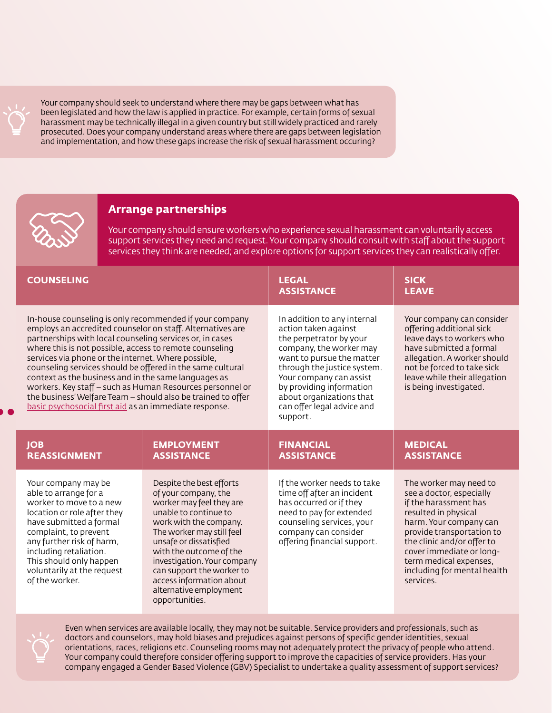Your company should seek to understand where there may be gaps between what has been legislated and how the law is applied in practice. For example, certain forms of sexual harassment may be technically illegal in a given country but still widely practiced and rarely prosecuted. Does your company understand areas where there are gaps between legislation and implementation, and how these gaps increase the risk of sexual harassment occuring?

#### **Arrange partnerships**

Your company should ensure workers who experience sexual harassment can voluntarily access support services they need and request. Your company should consult with staff about the support services they think are needed; and explore options for support services they can realistically offer.

| <b>COUNSELING</b>                                                                                                                                                                                                                                                                                                                                                                                                                                                                                                                                                                                                |                                                                                                                                                                                                                                                                                                                                                       | <b>LEGAL</b><br><b>ASSISTANCE</b>                                                                                                                                                                                                                                                                  | <b>SICK</b><br><b>LEAVE</b>                                                                                                                                                                                                                                                                |
|------------------------------------------------------------------------------------------------------------------------------------------------------------------------------------------------------------------------------------------------------------------------------------------------------------------------------------------------------------------------------------------------------------------------------------------------------------------------------------------------------------------------------------------------------------------------------------------------------------------|-------------------------------------------------------------------------------------------------------------------------------------------------------------------------------------------------------------------------------------------------------------------------------------------------------------------------------------------------------|----------------------------------------------------------------------------------------------------------------------------------------------------------------------------------------------------------------------------------------------------------------------------------------------------|--------------------------------------------------------------------------------------------------------------------------------------------------------------------------------------------------------------------------------------------------------------------------------------------|
| In-house counseling is only recommended if your company<br>employs an accredited counselor on staff. Alternatives are<br>partnerships with local counseling services or, in cases<br>where this is not possible, access to remote counseling<br>services via phone or the internet. Where possible,<br>counseling services should be offered in the same cultural<br>context as the business and in the same languages as<br>workers. Key staff - such as Human Resources personnel or<br>the business' Welfare Team - should also be trained to offer<br>basic psychosocial first aid as an immediate response. |                                                                                                                                                                                                                                                                                                                                                       | In addition to any internal<br>action taken against<br>the perpetrator by your<br>company, the worker may<br>want to pursue the matter<br>through the justice system.<br>Your company can assist<br>by providing information<br>about organizations that<br>can offer legal advice and<br>support. | Your company can consider<br>offering additional sick<br>leave days to workers who<br>have submitted a formal<br>allegation. A worker should<br>not be forced to take sick<br>leave while their allegation<br>is being investigated.                                                       |
| <b>JOB</b><br><b>REASSIGNMENT</b>                                                                                                                                                                                                                                                                                                                                                                                                                                                                                                                                                                                | <b>EMPLOYMENT</b><br><b>ASSISTANCE</b>                                                                                                                                                                                                                                                                                                                | <b>FINANCIAL</b><br><b>ASSISTANCE</b>                                                                                                                                                                                                                                                              | <b>MEDICAL</b><br><b>ASSISTANCE</b>                                                                                                                                                                                                                                                        |
| Your company may be<br>able to arrange for a<br>worker to move to a new<br>location or role after they<br>have submitted a formal<br>complaint, to prevent<br>any further risk of harm,<br>including retaliation.<br>This should only happen<br>voluntarily at the request<br>of the worker.                                                                                                                                                                                                                                                                                                                     | Despite the best efforts<br>of your company, the<br>worker may feel they are<br>unable to continue to<br>work with the company.<br>The worker may still feel<br>unsafe or dissatisfied<br>with the outcome of the<br>investigation. Your company<br>can support the worker to<br>access information about<br>alternative employment<br>opportunities. | If the worker needs to take<br>time off after an incident<br>has occurred or if they<br>need to pay for extended<br>counseling services, your<br>company can consider<br>offering financial support.                                                                                               | The worker may need to<br>see a doctor, especially<br>if the harassment has<br>resulted in physical<br>harm. Your company can<br>provide transportation to<br>the clinic and/or offer to<br>cover immediate or long-<br>term medical expenses,<br>including for mental health<br>services. |



Even when services are available locally, they may not be suitable. Service providers and professionals, such as doctors and counselors, may hold biases and prejudices against persons of specific gender identities, sexual orientations, races, religions etc. Counseling rooms may not adequately protect the privacy of people who attend. Your company could therefore consider offering support to improve the capacities of service providers. Has your company engaged a Gender Based Violence (GBV) Specialist to undertake a quality assessment of support services?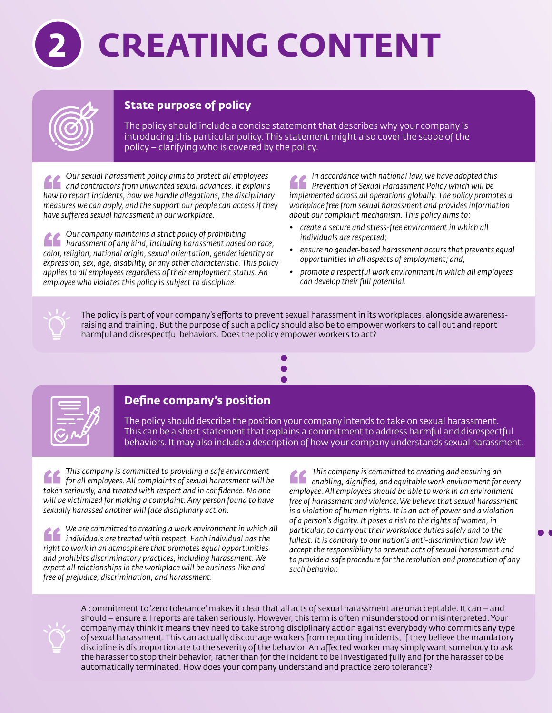# **2 CREATING CONTENT**



## **State purpose of policy**

The policy should include a concise statement that describes why your company is introducing this particular policy. This statement might also cover the scope of the policy – clarifying who is covered by the policy.

*Our sexual harassment policy aims to protect all employees and contractors from unwanted sexual advances. It explains how to report incidents, how we handle allegations, the disciplinary measures we can apply, and the support our people can access if they have suffered sexual harassment in our workplace.* 

*Our company maintains a strict policy of prohibiting harassment of any kind, including harassment based on race, color, religion, national origin, sexual orientation, gender identity or expression, sex, age, disability, or any other characteristic. This policy applies to all employees regardless of their employment status. An employee who violates this policy is subject to discipline.* 

*In accordance with national law, we have adopted this*  " *Prevention of Sexual Harassment Policy which will be implemented across all operations globally. The policy promotes a workplace free from sexual harassment and provides information about our complaint mechanism. This policy aims to:* 

- *• create a secure and stress-free environment in which all individuals are respected;*
- *• ensure no gender-based harassment occurs that prevents equal opportunities in all aspects of employment; and,*
- *• promote a respectful work environment in which all employees can develop their full potential.*

The policy is part of your company's efforts to prevent sexual harassment in its workplaces, alongside awarenessraising and training. But the purpose of such a policy should also be to empower workers to call out and report harmful and disrespectful behaviors. Does the policy empower workers to act?

## **Define company's position**

The policy should describe the position your company intends to take on sexual harassment. This can be a short statement that explains a commitment to address harmful and disrespectful behaviors. It may also include a description of how your company understands sexual harassment.

*This company is committed to providing a safe environment for all employees. All complaints of sexual harassment will be taken seriously, and treated with respect and in confidence. No one will be victimized for making a complaint. Any person found to have sexually harassed another will face disciplinary action.* 

*We are committed to creating a work environment in which all individuals are treated with respect. Each individual has the right to work in an atmosphere that promotes equal opportunities and prohibits discriminatory practices, including harassment. We expect all relationships in the workplace will be business-like and free of prejudice, discrimination, and harassment.* 

*This company is committed to creating and ensuring an*  " *enabling, dignified, and equitable work environment for every employee. All employees should be able to work in an environment free of harassment and violence. We believe that sexual harassment is a violation of human rights. It is an act of power and a violation of a person's dignity. It poses a risk to the rights of women, in particular, to carry out their workplace duties safely and to the fullest. It is contrary to our nation's anti-discrimination law. We accept the responsibility to prevent acts of sexual harassment and to provide a safe procedure for the resolution and prosecution of any such behavior.* 



A commitment to 'zero tolerance' makes it clear that all acts of sexual harassment are unacceptable. It can – and should – ensure all reports are taken seriously. However, this term is often misunderstood or misinterpreted. Your company may think it means they need to take strong disciplinary action against everybody who commits any type of sexual harassment. This can actually discourage workers from reporting incidents, if they believe the mandatory discipline is disproportionate to the severity of the behavior. An affected worker may simply want somebody to ask the harasser to stop their behavior, rather than for the incident to be investigated fully and for the harasser to be automatically terminated. How does your company understand and practice 'zero tolerance'?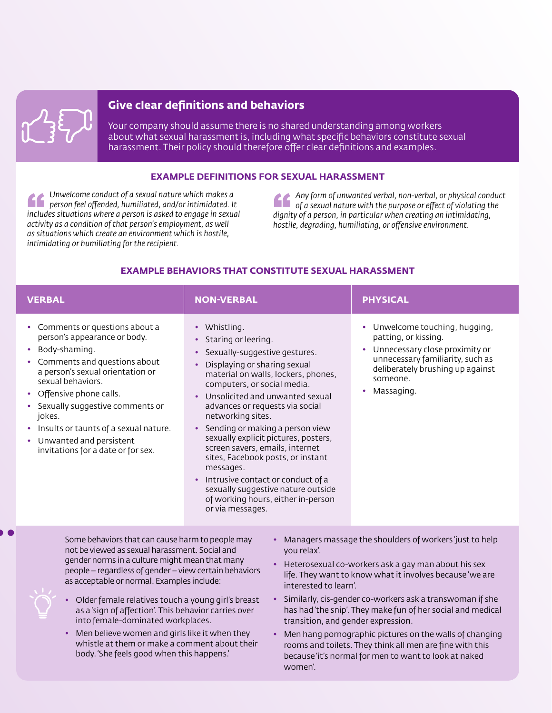

## **Give clear definitions and behaviors**

Your company should assume there is no shared understanding among workers about what sexual harassment is, including what specific behaviors constitute sexual harassment. Their policy should therefore offer clear definitions and examples.

#### **EXAMPLE DEFINITIONS FOR SEXUAL HARASSMENT**

*Unwelcome conduct of a sexual nature which makes a person feel offended, humiliated, and/or intimidated. It includes situations where a person is asked to engage in sexual activity as a condition of that person's employment, as well as situations which create an environment which is hostile, intimidating or humiliating for the recipient.*

*Any form of unwanted verbal, non-verbal, or physical conduct of a sexual nature with the purpose or effect of violating the dignity of a person, in particular when creating an intimidating, hostile, degrading, humiliating, or offensive environment.*

#### **EXAMPLE BEHAVIORS THAT CONSTITUTE SEXUAL HARASSMENT**

| <b>VERBAL</b>                                                                                                                                                                                                                                                                                                                                                                                                                                                                                                                                                               | <b>NON-VERBAL</b>                                                                                                                                                                                                                                                                                                                                                                                                                                                                                                                                                                                                 | <b>PHYSICAL</b>                                                                                                                                                                                                                                                                                                                                                                                                                                                                                                                                                 |  |
|-----------------------------------------------------------------------------------------------------------------------------------------------------------------------------------------------------------------------------------------------------------------------------------------------------------------------------------------------------------------------------------------------------------------------------------------------------------------------------------------------------------------------------------------------------------------------------|-------------------------------------------------------------------------------------------------------------------------------------------------------------------------------------------------------------------------------------------------------------------------------------------------------------------------------------------------------------------------------------------------------------------------------------------------------------------------------------------------------------------------------------------------------------------------------------------------------------------|-----------------------------------------------------------------------------------------------------------------------------------------------------------------------------------------------------------------------------------------------------------------------------------------------------------------------------------------------------------------------------------------------------------------------------------------------------------------------------------------------------------------------------------------------------------------|--|
| Comments or questions about a<br>person's appearance or body.<br>Body-shaming.<br>$\bullet$<br>Comments and questions about<br>a person's sexual orientation or<br>sexual behaviors.<br>Offensive phone calls.<br>• Sexually suggestive comments or<br>jokes.<br>Insults or taunts of a sexual nature.<br>٠<br>Unwanted and persistent<br>invitations for a date or for sex.                                                                                                                                                                                                | • Whistling.<br>Staring or leering.<br>Sexually-suggestive gestures.<br>$\bullet$<br>Displaying or sharing sexual<br>material on walls, lockers, phones,<br>computers, or social media.<br>Unsolicited and unwanted sexual<br>advances or requests via social<br>networking sites.<br>Sending or making a person view<br>$\bullet$<br>sexually explicit pictures, posters,<br>screen savers, emails, internet<br>sites, Facebook posts, or instant<br>messages.<br>Intrusive contact or conduct of a<br>$\bullet$<br>sexually suggestive nature outside<br>of working hours, either in-person<br>or via messages. | • Unwelcome touching, hugging,<br>patting, or kissing.<br>• Unnecessary close proximity or<br>unnecessary familiarity, such as<br>deliberately brushing up against<br>someone.<br>Massaging.<br>۰                                                                                                                                                                                                                                                                                                                                                               |  |
| Some behaviors that can cause harm to people may<br>not be viewed as sexual harassment. Social and<br>gender norms in a culture might mean that many<br>people - regardless of gender - view certain behaviors<br>as acceptable or normal. Examples include:<br>Older female relatives touch a young girl's breast<br>as a 'sign of affection'. This behavior carries over<br>into female-dominated workplaces.<br>Men believe women and girls like it when they<br>$\bullet$<br>whistle at them or make a comment about their<br>body. 'She feels good when this happens.' | you relax'.                                                                                                                                                                                                                                                                                                                                                                                                                                                                                                                                                                                                       | Managers massage the shoulders of workers 'just to help<br>Heterosexual co-workers ask a gay man about his sex<br>life. They want to know what it involves because 'we are<br>interested to learn'.<br>Similarly, cis-gender co-workers ask a transwoman if she<br>has had 'the snip'. They make fun of her social and medical<br>transition, and gender expression.<br>Men hang pornographic pictures on the walls of changing<br>rooms and toilets. They think all men are fine with this<br>because 'it's normal for men to want to look at naked<br>women'. |  |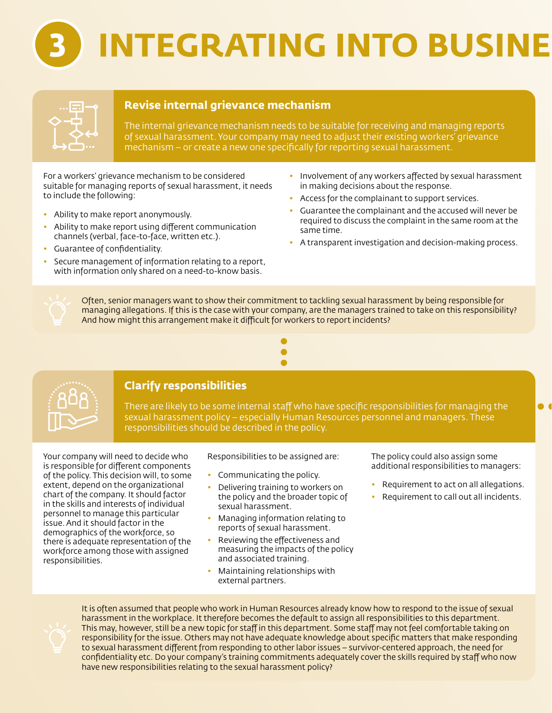**INTEGRATING INTO BUSINE** 



## **Revise internal grievance mechanism**

The internal grievance mechanism needs to be suitable for receiving and managing reports of sexual harassment. Your company may need to adjust their existing workers' grievance mechanism – or create a new one specifically for reporting sexual harassment.

For a workers' grievance mechanism to be considered suitable for managing reports of sexual harassment, it needs to include the following:

- Ability to make report anonymously.
- Ability to make report using different communication channels (verbal, face-to-face, written etc.).
- Guarantee of confidentiality.
- Secure management of information relating to a report, with information only shared on a need-to-know basis.
- Involvement of any workers affected by sexual harassment in making decisions about the response.
- Access for the complainant to support services.
- Guarantee the complainant and the accused will never be required to discuss the complaint in the same room at the same time.
- A transparent investigation and decision-making process.

Often, senior managers want to show their commitment to tackling sexual harassment by being responsible for managing allegations. If this is the case with your company, are the managers trained to take on this responsibility? And how might this arrangement make it difficult for workers to report incidents?

> $\bullet$  $\bullet$



## **Clarify responsibilities**

There are likely to be some internal staff who have specific responsibilities for managing the sexual harassment policy – especially Human Resources personnel and managers. These responsibilities should be described in the policy.

Your company will need to decide who is responsible for different components of the policy. This decision will, to some extent, depend on the organizational chart of the company. It should factor in the skills and interests of individual personnel to manage this particular issue. And it should factor in the demographics of the workforce, so there is adequate representation of the workforce among those with assigned responsibilities.

Responsibilities to be assigned are:

- Communicating the policy.
- Delivering training to workers on the policy and the broader topic of sexual harassment.
- Managing information relating to reports of sexual harassment.
- Reviewing the effectiveness and measuring the impacts of the policy and associated training.
- Maintaining relationships with external partners.

The policy could also assign some additional responsibilities to managers:

- Requirement to act on all allegations.
- Requirement to call out all incidents.



It is often assumed that people who work in Human Resources already know how to respond to the issue of sexual harassment in the workplace. It therefore becomes the default to assign all responsibilities to this department. This may, however, still be a new topic for staff in this department. Some staff may not feel comfortable taking on responsibility for the issue. Others may not have adequate knowledge about specific matters that make responding to sexual harassment different from responding to other labor issues – survivor-centered approach, the need for confidentiality etc. Do your company's training commitments adequately cover the skills required by staff who now have new responsibilities relating to the sexual harassment policy?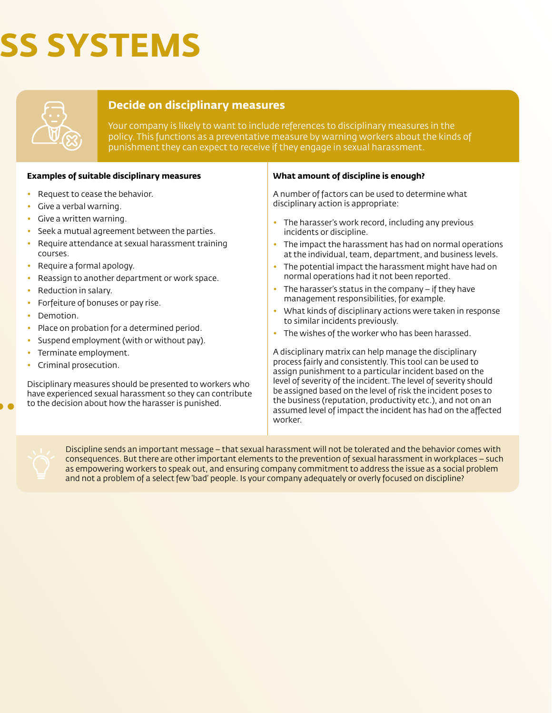## **SS SYSTEMS**



## **Decide on disciplinary measures**

Your company is likely to want to include references to disciplinary measures in the policy. This functions as a preventative measure by warning workers about the kinds of punishment they can expect to receive if they engage in sexual harassment.

#### **Examples of suitable disciplinary measures**

- Request to cease the behavior.
- Give a verbal warning.
- Give a written warning.
- Seek a mutual agreement between the parties.
- Require attendance at sexual harassment training courses.
- Require a formal apology.
- Reassign to another department or work space.
- Reduction in salary.
- Forfeiture of bonuses or pay rise.
- Demotion.
- Place on probation for a determined period.
- Suspend employment (with or without pay).
- Terminate employment.
- Criminal prosecution.

Disciplinary measures should be presented to workers who have experienced sexual harassment so they can contribute to the decision about how the harasser is punished.

#### **What amount of discipline is enough?**

A number of factors can be used to determine what disciplinary action is appropriate:

- The harasser's work record, including any previous incidents or discipline.
- The impact the harassment has had on normal operations at the individual, team, department, and business levels.
- The potential impact the harassment might have had on normal operations had it not been reported.
- The harasser's status in the company if they have management responsibilities, for example.
- What kinds of disciplinary actions were taken in response to similar incidents previously.
- The wishes of the worker who has been harassed.

A disciplinary matrix can help manage the disciplinary process fairly and consistently. This tool can be used to assign punishment to a particular incident based on the level of severity of the incident. The level of severity should be assigned based on the level of risk the incident poses to the business (reputation, productivity etc.), and not on an assumed level of impact the incident has had on the affected worker.



Discipline sends an important message – that sexual harassment will not be tolerated and the behavior comes with consequences. But there are other important elements to the prevention of sexual harassment in workplaces – such as empowering workers to speak out, and ensuring company commitment to address the issue as a social problem and not a problem of a select few 'bad' people. Is your company adequately or overly focused on discipline?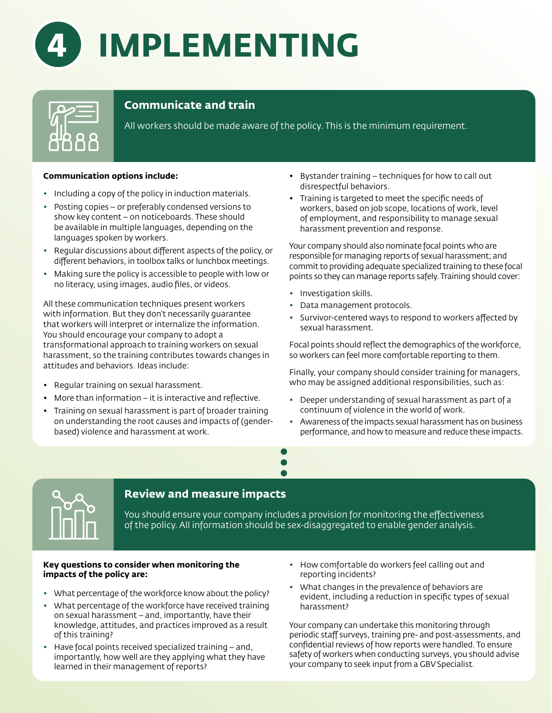



## **Communicate and train**

All workers should be made aware of the policy. This is the minimum requirement.

#### **Communication options include:**

- Including a copy of the policy in induction materials.
- Posting copies or preferably condensed versions to show key content – on noticeboards. These should be available in multiple languages, depending on the languages spoken by workers.
- Regular discussions about different aspects of the policy, or different behaviors, in toolbox talks or lunchbox meetings.
- Making sure the policy is accessible to people with low or no literacy, using images, audio files, or videos.

All these communication techniques present workers with information. But they don't necessarily guarantee that workers will interpret or internalize the information. You should encourage your company to adopt a transformational approach to training workers on sexual harassment, so the training contributes towards changes in attitudes and behaviors. Ideas include:

- Regular training on sexual harassment.
- More than information it is interactive and reflective.
- Training on sexual harassment is part of broader training on understanding the root causes and impacts of (genderbased) violence and harassment at work.
- Bystander training techniques for how to call out disrespectful behaviors.
- Training is targeted to meet the specific needs of workers, based on job scope, locations of work, level of employment, and responsibility to manage sexual harassment prevention and response.

Your company should also nominate focal points who are responsible for managing reports of sexual harassment; and commit to providing adequate specialized training to these focal points so they can manage reports safely. Training should cover:

- Investigation skills.
- Data management protocols.
- Survivor-centered ways to respond to workers affected by sexual harassment.

Focal points should reflect the demographics of the workforce, so workers can feel more comfortable reporting to them.

Finally, your company should consider training for managers, who may be assigned additional responsibilities, such as:

- Deeper understanding of sexual harassment as part of a continuum of violence in the world of work.
- Awareness of the impacts sexual harassment has on business performance, and how to measure and reduce these impacts.



## **Review and measure impacts**

You should ensure your company includes a provision for monitoring the effectiveness of the policy. All information should be sex-disaggregated to enable gender analysis.

#### **Key questions to consider when monitoring the impacts of the policy are:**

- What percentage of the workforce know about the policy?
- What percentage of the workforce have received training on sexual harassment – and, importantly, have their knowledge, attitudes, and practices improved as a result of this training?
- Have focal points received specialized training and, importantly, how well are they applying what they have learned in their management of reports?
- How comfortable do workers feel calling out and reporting incidents?
- What changes in the prevalence of behaviors are evident, including a reduction in specific types of sexual harassment?

Your company can undertake this monitoring through periodic staff surveys, training pre- and post-assessments, and confidential reviews of how reports were handled. To ensure safety of workers when conducting surveys, you should advise your company to seek input from a GBV Specialist.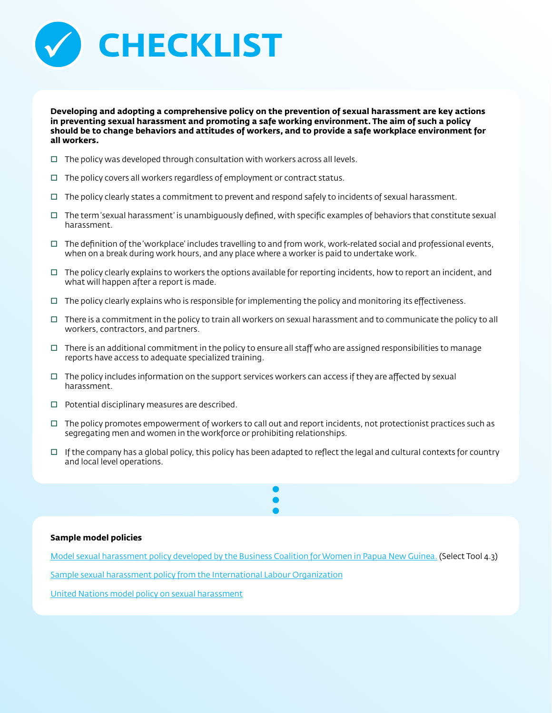

**Developing and adopting a comprehensive policy on the prevention of sexual harassment are key actions in preventing sexual harassment and promoting a safe working environment. The aim of such a policy should be to change behaviors and attitudes of workers, and to provide a safe workplace environment for all workers.**

- $\Box$  The policy was developed through consultation with workers across all levels.
- $\Box$  The policy covers all workers regardless of employment or contract status.
- $\Box$  The policy clearly states a commitment to prevent and respond safely to incidents of sexual harassment.
- $\Box$  The term 'sexual harassment' is unambiguously defined, with specific examples of behaviors that constitute sexual harassment.
- $\Box$  The definition of the 'workplace' includes travelling to and from work, work-related social and professional events, when on a break during work hours, and any place where a worker is paid to undertake work.
- $\Box$  The policy clearly explains to workers the options available for reporting incidents, how to report an incident, and what will happen after a report is made.
- $\Box$  The policy clearly explains who is responsible for implementing the policy and monitoring its effectiveness.
- $\Box$  There is a commitment in the policy to train all workers on sexual harassment and to communicate the policy to all workers, contractors, and partners.
- $\Box$  There is an additional commitment in the policy to ensure all staff who are assigned responsibilities to manage reports have access to adequate specialized training.
- $\Box$  The policy includes information on the support services workers can access if they are affected by sexual harassment.
- $\Box$  Potential disciplinary measures are described.
- $\Box$  The policy promotes empowerment of workers to call out and report incidents, not protectionist practices such as segregating men and women in the workforce or prohibiting relationships.
- $\Box$  If the company has a global policy, this policy has been adapted to reflect the legal and cultural contexts for country and local level operations.

#### **Sample model policies**

[Model sexual harassment policy developed by the Business Coalition for Women in Papua New Guinea.](https://www.ifc.org/wps/wcm/connect/topics_ext_content/ifc_external_corporate_site/gender+at+ifc/resources/unlocking-opportunities-for-women-and-business) (Select Tool 4.3) [Sample sexual harassment policy from the International Labour Organization](https://www.ilo.org/wcmsp5/groups/public/---asia/---ro-bangkok/---ilo-suva/documents/policy/wcms_407364.pdf) [United Nations model policy on sexual harassment](https://unsceb.org/sites/default/files/UN System Model Policy on Sexual Harassment_FINAL.pdf)